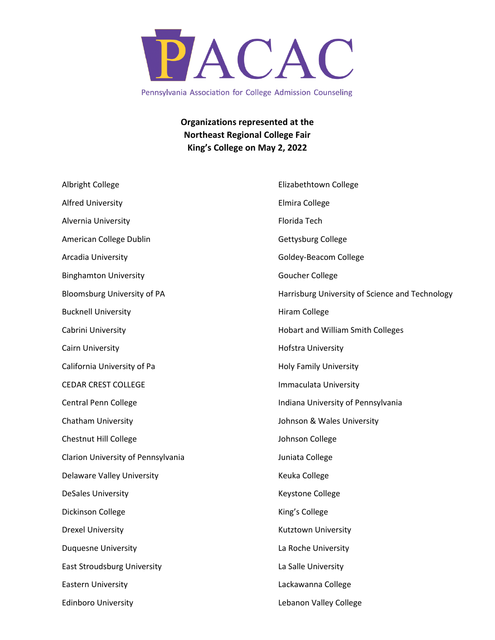

Pennsylvania Association for College Admission Counseling

**Organizations represented at the Northeast Regional College Fair King's College on May 2, 2022**

| Albright College                   | Elizabethtown College                           |
|------------------------------------|-------------------------------------------------|
| <b>Alfred University</b>           | Elmira College                                  |
| Alvernia University                | Florida Tech                                    |
| American College Dublin            | Gettysburg College                              |
| Arcadia University                 | Goldey-Beacom College                           |
| <b>Binghamton University</b>       | <b>Goucher College</b>                          |
| Bloomsburg University of PA        | Harrisburg University of Science and Technology |
| <b>Bucknell University</b>         | <b>Hiram College</b>                            |
| Cabrini University                 | <b>Hobart and William Smith Colleges</b>        |
| Cairn University                   | Hofstra University                              |
| California University of Pa        | <b>Holy Family University</b>                   |
| <b>CEDAR CREST COLLEGE</b>         | Immaculata University                           |
| <b>Central Penn College</b>        | Indiana University of Pennsylvania              |
| <b>Chatham University</b>          | Johnson & Wales University                      |
| Chestnut Hill College              | Johnson College                                 |
| Clarion University of Pennsylvania | Juniata College                                 |
| <b>Delaware Valley University</b>  | Keuka College                                   |
| <b>DeSales University</b>          | Keystone College                                |
| Dickinson College                  | King's College                                  |
| <b>Drexel University</b>           | Kutztown University                             |
| <b>Duquesne University</b>         | La Roche University                             |
| <b>East Stroudsburg University</b> | La Salle University                             |
| <b>Eastern University</b>          | Lackawanna College                              |
| <b>Edinboro University</b>         | Lebanon Valley College                          |